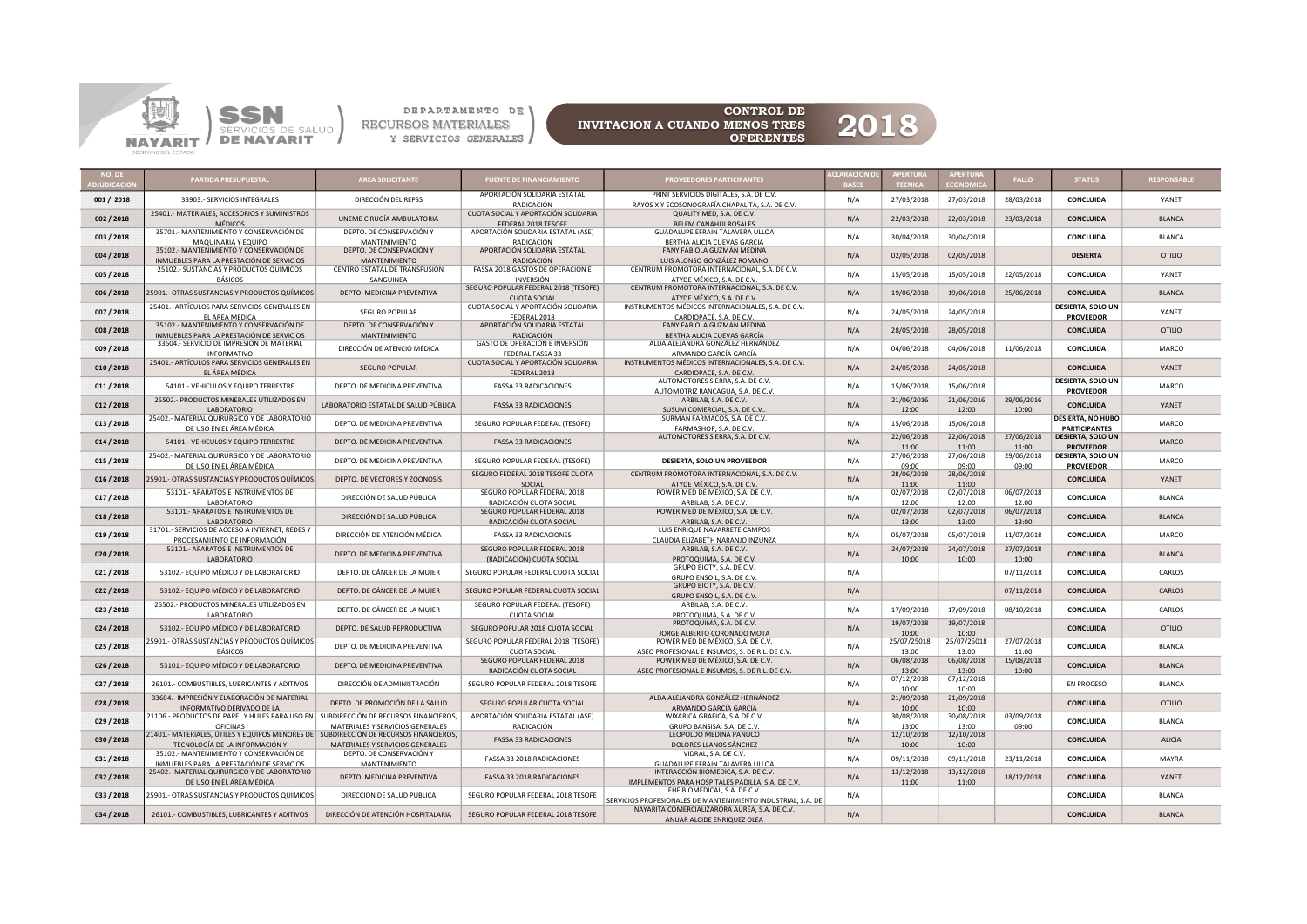

DEPARTAMENTO DE \



CONTROL DE<br>MENOS TRES 2018

|            | PARTIDA PRESUPUESTAL                                                                             | <b>AREA SOLICITANTE</b>                                      | FUENTE DE FINANCIAMIENTO                                               | ROVEEDORES PARTICIPANTES                                                                                      | <b>CLARACION</b> |                      | <b>APERTUR</b>       | <b>FALLO</b>        | <b>STATUS</b>                                    | RESPONSABLE   |
|------------|--------------------------------------------------------------------------------------------------|--------------------------------------------------------------|------------------------------------------------------------------------|---------------------------------------------------------------------------------------------------------------|------------------|----------------------|----------------------|---------------------|--------------------------------------------------|---------------|
| 001 / 2018 | 33903 .- SERVICIOS INTEGRALES                                                                    | DIRECCIÓN DEL REPSS                                          | APORTACIÓN SOLIDARIA ESTATAL<br>RADICACIÓN                             | PRINT SERVICIOS DIGITALES, S.A. DE C.V.<br>RAYOS X Y ECOSONOGRAFÍA CHAPALITA, S.A. DE C.V.                    | N/A              | 27/03/2018           | 27/03/2018           | 28/03/2018          | CONCLUIDA                                        | YANET         |
| 002 / 2018 | 25401.- MATERIALES, ACCESORIOS Y SUMINISTROS<br><b>MÉDICOS</b>                                   | UNEME CIRUGÍA AMBULATORIA                                    | CUOTA SOCIAL Y APORTACIÓN SOLIDARIA<br>FEDERAL 2018 TESOFE             | QUALITY MED, S.A. DE C.V.<br>BELEM CANAHUI ROSALES                                                            | N/A              | 22/03/2018           | 22/03/2018           | 23/03/2018          | <b>CONCLUIDA</b>                                 | <b>BLANCA</b> |
| 003 / 2018 | 35701.- MANTENIMIENTO Y CONSERVACIÓN DE                                                          | DEPTO. DE CONSERVACIÓN Y                                     | APORTACIÓN SOLIDARIA ESTATAL (ASE)                                     | GUADALUPE EFRAIN TALAVERA ULLOA                                                                               | N/A              | 30/04/2018           | 30/04/2018           |                     | <b>CONCLUIDA</b>                                 | <b>BLANCA</b> |
| 004 / 2018 | MAQUINARIA Y EQUIPO<br>35102.- MANTENIMIENTO Y CONSERVACIÓN DE                                   | MANTENIMIENTO<br>DEPTO. DE CONSERVACIÓN Y                    | RADICACIÓN<br>APORTACIÓN SOLIDARIA ESTATAL                             | BERTHA ALICIA CUEVAS GARCÍA<br>FANY FABIOLA GUZMÁN MEDINA                                                     | N/A              | 02/05/2018           | 02/05/2018           |                     | <b>DESIERTA</b>                                  | <b>OTILIO</b> |
| 005 / 2018 | INMUEBLES PARA LA PRESTACIÓN DE SERVICIOS<br>25102.- SUSTANCIAS Y PRODUCTOS QUÍMICOS             | <b>MANTENIMIENTO</b><br>CENTRO ESTATAL DE TRANSFUSIÓN        | <b>RADICACIÓN</b><br>FASSA 2018 GASTOS DE OPERACIÓN E                  | LUIS ALONSO GONZÁLEZ ROMANO<br>CENTRUM PROMOTORA INTERNACIONAL, S.A. DE C.V.                                  | N/A              | 15/05/2018           | 15/05/2018           | 22/05/2018          | CONCLUIDA                                        | YANET         |
|            | <b>BÁSICOS</b>                                                                                   | SANGUINEA                                                    | <b>INVERSIÓN</b><br>SEGURO POPULAR FEDERAL 2018 (TESOFE)               | ATYDE MÉXICO, S.A. DE C.V.<br>CENTRUM PROMOTORA INTERNACIONAL, S.A. DE C.V.                                   |                  |                      |                      |                     |                                                  |               |
| 006/2018   | 25901.- OTRAS SUSTANCIAS Y PRODUCTOS QUÍMICOS<br>25401.- ARTÍCULOS PARA SERVICIOS GENERALES EN   | DEPTO. MEDICINA PREVENTIVA                                   | <b>CUOTA SOCIAL</b><br>CUOTA SOCIAL Y APORTACIÓN SOLIDARIA             | ATYDE MÉXICO, S.A. DE C.V.<br>INSTRUMENTOS MÉDICOS INTERNACIONALES, S.A. DE C.V.                              | N/A              | 19/06/2018           | 19/06/2018           | 25/06/2018          | <b>CONCLUIDA</b><br>DESIERTA, SOLO UN            | <b>BLANCA</b> |
| 007/2018   | EL ÁREA MÉDICA<br>35102.- MANTENIMIENTO Y CONSERVACIÓN DE                                        | SEGURO POPULAR<br>DEPTO. DE CONSERVACIÓN Y                   | FEDERAL 2018<br>APORTACIÓN SOLIDARIA ESTATAL                           | CARDIOPACE, S.A. DE C.V.<br>FANY FABIOLA GUZMAN MEDINA                                                        | N/A              | 24/05/2018           | 24/05/2018           |                     | <b>PROVEEDOR</b>                                 | YANET         |
| 008/2018   | INMUEBLES PARA LA PRESTACIÓN DE SERVICIOS                                                        | <b>MANTENIMIENTO</b>                                         | <b>RADICACIÓN</b>                                                      | BERTHA ALICIA CUEVAS GARCÍA                                                                                   | N/A              | 28/05/2018           | 28/05/2018           |                     | <b>CONCLUIDA</b>                                 | <b>OTILIO</b> |
| 009 / 2018 | 33604.- SERVICIO DE IMPRESIÓN DE MATERIAL<br><b>INFORMATIVO</b>                                  | DIRECCIÓN DE ATENCIÓ MÉDICA                                  | GASTO DE OPERACIÓN E INVERSIÓN<br>FEDERAL FASSA 33                     | ALDA ALEJANDRA GONZÁLEZ HERNÁNDEZ<br>ARMANDO GARCÍA GARCÍA                                                    | N/A              | 04/06/2018           | 04/06/2018           | 11/06/2018          | CONCLUIDA                                        | MARCO         |
| 010/2018   | 25401.- ARTÍCULOS PARA SERVICIOS GENERALES EN<br>EL ÁREA MÉDICA                                  | <b>SEGURO POPULAR</b>                                        | CUOTA SOCIAL Y APORTACIÓN SOLIDARIA<br>FEDERAL 2018                    | INSTRUMENTOS MÉDICOS INTERNACIONALES, S.A. DE C.V.<br>CARDIOPACE, S.A. DE C.V.                                | N/A              | 24/05/2018           | 24/05/2018           |                     | <b>CONCLUIDA</b>                                 | YANET         |
| 011/2018   | 54101.- VEHICULOS Y EQUIPO TERRESTRE                                                             | DEPTO. DE MEDICINA PREVENTIVA                                | <b>FASSA 33 RADICACIONES</b>                                           | AUTOMOTORES SIERRA, S.A. DE C.V.<br>AUTOMOTRIZ RANCAGUA, S.A. DE C.V.                                         | N/A              | 15/06/2018           | 15/06/2018           |                     | DESIERTA, SOLO UN<br><b>PROVEEDOR</b>            | MARCO         |
| 012/2018   | 25502.- PRODUCTOS MINERALES UTILIZADOS EN<br><b>LABORATORIO</b>                                  | LABORATORIO ESTATAL DE SALUD PÚBLICA                         | <b>FASSA 33 RADICACIONES</b>                                           | ARBILAB, S.A. DE C.V.<br>SUSUM COMERCIAL, S.A. DE C.V                                                         | N/A              | 21/06/2016<br>12:00  | 21/06/2016<br>12:00  | 29/06/2016<br>10:00 | <b>CONCLUIDA</b>                                 | YANET         |
| 013 / 2018 | 25402.- MATERIAL QUIRURGICO Y DE LABORATORIO<br>DE USO EN EL ÁREA MÉDICA                         | DEPTO. DE MEDICINA PREVENTIVA                                | SEGURO POPULAR FEDERAL (TESOFE)                                        | SURMAN FARMACOS, S.A. DE C.V.<br>FARMASHOP, S.A. DE C.V.                                                      | N/A              | 15/06/2018           | 15/06/2018           |                     | <b>DESIERTA, NO HUBO</b><br><b>PARTICIPANTES</b> | MARCO         |
| 014/2018   | 54101.- VEHICULOS Y EQUIPO TERRESTRE                                                             | DEPTO. DE MEDICINA PREVENTIVA                                | <b>FASSA 33 RADICACIONES</b>                                           | AUTOMOTORES SIERRA, S.A. DE C.V.                                                                              | N/A              | 22/06/2018           | 22/06/2018           | 27/06/2018<br>11:00 | <b>DESIERTA, SOLO UN</b><br><b>PROVEEDOR</b>     | <b>MARCO</b>  |
| 015 / 2018 | 25402.- MATERIAL QUIRURGICO Y DE LABORATORIO                                                     | DEPTO. DE MEDICINA PREVENTIVA                                | SEGURO POPULAR FEDERAL (TESOFE)                                        | DESIERTA, SOLO UN PROVEEDOR                                                                                   | N/A              | 11:00<br>27/06/2018  | 11:00<br>27/06/2018  | 29/06/2018          | DESIERTA, SOLO UN                                | MARCO         |
| 016/2018   | DE USO EN EL ÁREA MÉDICA<br>25901.- OTRAS SUSTANCIAS Y PRODUCTOS QUÍMICOS                        | DEPTO. DE VECTORES Y ZOONOSIS                                | SEGURO FEDERAL 2018 TESOFE CUOTA                                       | CENTRUM PROMOTORA INTERNACIONAL, S.A. DE C.V.                                                                 | N/A              | 09:00<br>28/06/2018  | 09:00<br>28/06/2018  | 09:00               | <b>PROVEEDOR</b><br><b>CONCLUIDA</b>             | YANFT         |
| 017/2018   | 53101.- APARATOS E INSTRUMENTOS DE                                                               | DIRECCIÓN DE SALUD PÚBLICA                                   | SOCIAL<br>SEGURO POPULAR FEDERAL 2018                                  | ATYDE MÉXICO, S.A. DE C.V.<br>POWER MED DE MÉXICO, S.A. DE C.V.                                               | N/A              | 11:00<br>02/07/2018  | 11:00<br>02/07/2018  | 06/07/2018          | <b>CONCLUIDA</b>                                 | <b>BLANCA</b> |
| 018/2018   | <b>LABORATORIO</b><br>53101.- APARATOS E INSTRUMENTOS DE                                         | DIRECCIÓN DE SALUD PÚBLICA                                   | RADICACIÓN CUOTA SOCIAL<br>SEGURO POPULAR FEDERAL 2018                 | ARBILAB, S.A. DE C.V.<br>POWER MED DE MÉXICO, S.A. DE C.V.                                                    | N/A              | 12:00<br>02/07/2018  | 12:00<br>02/07/2018  | 12:00<br>06/07/2018 | <b>CONCLUIDA</b>                                 | <b>BLANCA</b> |
| 019 / 2018 | <b>LABORATORIO</b><br>31701.- SERVICIOS DE ACCESO A INTERNET, REDES Y                            | DIRECCIÓN DE ATENCIÓN MÉDICA                                 | RADICACIÓN CUOTA SOCIAL<br>FASSA 33 RADICACIONES                       | ARBILAB, S.A. DE C.V.<br>LUIS ENRIQUE NAVARRETE CAMPOS                                                        | N/A              | 13:00<br>05/07/2018  | 13:00<br>05/07/2018  | 13:00<br>11/07/2018 | CONCLUIDA                                        | MARCO         |
|            | PROCESAMIENTO DE INFORMACIÓN<br>53101.- APARATOS E INSTRUMENTOS DE                               |                                                              | SEGURO POPULAR FEDERAL 2018                                            | CLAUDIA ELIZABETH NARANJO INZUNZA<br>ARBILAB, S.A. DE C.V.                                                    |                  | 24/07/2018           | 24/07/2018           | 27/07/2018          |                                                  |               |
| 020 / 2018 | LABORATORIO                                                                                      | DEPTO. DE MEDICINA PREVENTIVA                                | (RADICACIÓN) CUOTA SOCIAL                                              | PROTOQUIMA, S.A. DE C.V.<br>GRUPO BIOTY, S.A. DE C.V.                                                         | N/A              | 10:00                | 10:00                | 10:00               | <b>CONCLUIDA</b>                                 | <b>BLANCA</b> |
| 021/2018   | 53102.- EQUIPO MÉDICO Y DE LABORATORIO                                                           | DEPTO. DE CÁNCER DE LA MUJER                                 | SEGURO POPULAR FEDERAL CUOTA SOCIAL                                    | GRUPO ENSOIL, S.A. DE C.V.<br>GRUPO BIOTY, S.A. DE C.V.                                                       | N/A              |                      |                      | 07/11/2018          | CONCLUIDA                                        | CARLOS        |
| 022/2018   | 53102.- EQUIPO MÉDICO Y DE LABORATORIO<br>25502.- PRODUCTOS MINERALES UTILIZADOS EN              | DEPTO. DE CÁNCER DE LA MUJER                                 | SEGURO POPULAR FEDERAL CUOTA SOCIAL<br>SEGURO POPULAR FEDERAL (TESOFE) | GRUPO ENSOIL, S.A. DE C.V.<br>ARBILAB, S.A. DE C.V.                                                           | N/A              |                      |                      | 07/11/2018          | <b>CONCLUIDA</b>                                 | CARLOS        |
| 023 / 2018 | LABORATORIO                                                                                      | DEPTO. DE CÁNCER DE LA MUJER                                 | <b>CUOTA SOCIAL</b>                                                    | PROTOQUIMA, S.A. DE C.V                                                                                       | N/A              | 17/09/2018           | 17/09/2018           | 08/10/2018          | CONCLUIDA                                        | CARLOS        |
| 024 / 2018 | 53102.- EQUIPO MÉDICO Y DE LABORATORIO                                                           | DEPTO. DE SALUD REPRODUCTIVA                                 | SEGURO POPULAR 2018 CUOTA SOCIAL                                       | PROTOQUIMA, S.A. DE C.V.<br>JORGE ALBERTO CORONADO MOTA                                                       | N/A              | 19/07/2018<br>10:00  | 19/07/2018<br>10:00  |                     | <b>CONCLUIDA</b>                                 | <b>OTILIO</b> |
| 025 / 2018 | 25901.- OTRAS SUSTANCIAS Y PRODUCTOS QUÍMICOS<br><b>BÁSICOS</b>                                  | DEPTO. DE MEDICINA PREVENTIVA                                | SEGURO POPULAR FEDERAL 2018 (TESOFE)<br><b>CUOTA SOCIAL</b>            | POWER MED DE MÉXICO, S.A. DE C.V.<br>ASEO PROFESIONAL E INSUMOS, S. DE R.L. DE C.V.                           | N/A              | 25/07/25018<br>13:00 | 25/07/25018<br>13:00 | 27/07/2018<br>11:00 | CONCLUIDA                                        | <b>BLANCA</b> |
| 026/2018   | 53101.- EQUIPO MÉDICO Y DE LABORATORIO                                                           | DEPTO, DE MEDICINA PREVENTIVA                                | SEGURO POPULAR FEDERAL 2018<br>RADICACIÓN CUOTA SOCIAL                 | POWER MED DE MÉXICO, S.A. DE C.V.<br>ASEO PROFESIONAL E INSUMOS, S. DE R.L. DE C.V.                           | N/A              | 06/08/2018<br>13:00  | 06/08/2018<br>13:00  | 15/08/2018<br>10:00 | <b>CONCLUIDA</b>                                 | <b>BLANCA</b> |
| 027 / 2018 | 26101.- COMBUSTIBLES, LUBRICANTES Y ADITIVOS                                                     | DIRECCIÓN DE ADMINISTRACIÓN                                  | SEGURO POPULAR FEDERAL 2018 TESOFE                                     |                                                                                                               | N/A              | 07/12/2018<br>10:00  | 07/12/2018<br>10:00  |                     | <b>EN PROCESO</b>                                | <b>BLANCA</b> |
| 028/2018   | 33604.- IMPRESIÓN Y ELABORACIÓN DE MATERIAL<br>INFORMATIVO DERIVADO DE LA                        | DEPTO. DE PROMOCIÓN DE LA SALUD                              | SEGURO POPULAR CUOTA SOCIAL                                            | ALDA ALEJANDRA GONZÁLEZ HERNÁNDEZ<br>ARMANDO GARCÍA GARCÍA                                                    | N/A              | 21/09/2018<br>10:00  | 21/09/2018<br>10:00  |                     | <b>CONCLUIDA</b>                                 | OTILIO        |
| 029 / 2018 | 21106.- PRODUCTOS DE PAPEL Y HULES PARA USO EN SUBDIRECCIÓN DE RECURSOS FINANCIEROS,<br>OFICINAS |                                                              | APORTACIÓN SOLIDARIA ESTATAL (ASE)                                     | WIXARICA GRAFICA, S.A.DE C.V.<br>GRUPO BANSISA, S.A. DE C.V.                                                  | N/A              | 30/08/2018<br>13:00  | 30/08/2018<br>13:00  | 03/09/2018          | <b>CONCLUIDA</b>                                 | <b>BLANCA</b> |
| 030/2018   | 21401.- MATERIALES, ÚTILES Y EQUIPOS MENORES DE SUBDIRECCIÓN DE RECURSOS FINANCIEROS,            | MATERIALES Y SERVICIOS GENERALES                             | RADICACIÓN<br><b>FASSA 33 RADICACIONES</b>                             | LEOPOLDO MEDINA PANUCO                                                                                        | N/A              | 12/10/2018           | 12/10/2018           | 09:00               | <b>CONCLUIDA</b>                                 | ALICIA        |
| 031/2018   | TECNOLOGÍA DE LA INFORMACIÓN Y<br>35102.- MANTENIMIENTO Y CONSERVACIÓN DE                        | MATERIALES Y SERVICIOS GENERALES<br>DEPTO. DE CONSERVACIÓN Y | FASSA 33 2018 RADICACIONES                                             | DOLORES LLANOS SÁNCHEZ<br>VIDRAL, S.A. DE C.V.                                                                | N/A              | 10:00<br>09/11/2018  | 10:00<br>09/11/2018  | 23/11/2018          | CONCLUIDA                                        | <b>MAYRA</b>  |
| 032/2018   | INMUEBLES PARA LA PRESTACIÓN DE SERVICIOS<br>25402.- MATERIAL QUIRURGICO Y DE LABORATORIO        | MANTENIMIENTO<br>DEPTO. MEDICINA PREVENTIVA                  | FASSA 33 2018 RADICACIONES                                             | GUADALUPE EFRAIN TALAVERA ULLOA<br>INTERACCIÓN BIOMEDICA, S.A. DE C.V.                                        | N/A              | 13/12/2018           | 13/12/2018           | 18/12/2018          | <b>CONCLUIDA</b>                                 | YANET         |
| 033/2018   | DE USO EN EL ÁREA MÉDICA<br>25901.- OTRAS SUSTANCIAS Y PRODUCTOS QUÍMICOS                        | DIRECCIÓN DE SALUD PÚBLICA                                   | SEGURO POPULAR FEDERAL 2018 TESOFE                                     | IMPLEMENTOS PARA HOSPITALES PADILLA, S.A. DE C.V.<br>EHF BIOMEDICAL, S.A. DE C.V.                             | N/A              | 11:00                | 11:00                |                     | <b>CONCLUIDA</b>                                 | <b>BLANCA</b> |
|            |                                                                                                  |                                                              |                                                                        | SERVICIOS PROFESIONALES DE MANTENIMIENTO INDUSTRIAL, S.A. DE<br>NAYARITA COMERCIALIZARORA AUREA, S.A. DE.C.V. |                  |                      |                      |                     | CONCLUIDA                                        | <b>BLANCA</b> |
| 034 / 2018 | 26101.- COMBUSTIBLES, LUBRICANTES Y ADITIVOS                                                     | DIRECCIÓN DE ATENCIÓN HOSPITALARIA                           | SEGURO POPULAR FEDERAL 2018 TESOFE                                     | ANUAR ALCIDE ENRIQUEZ OLEA                                                                                    | N/A              |                      |                      |                     |                                                  |               |